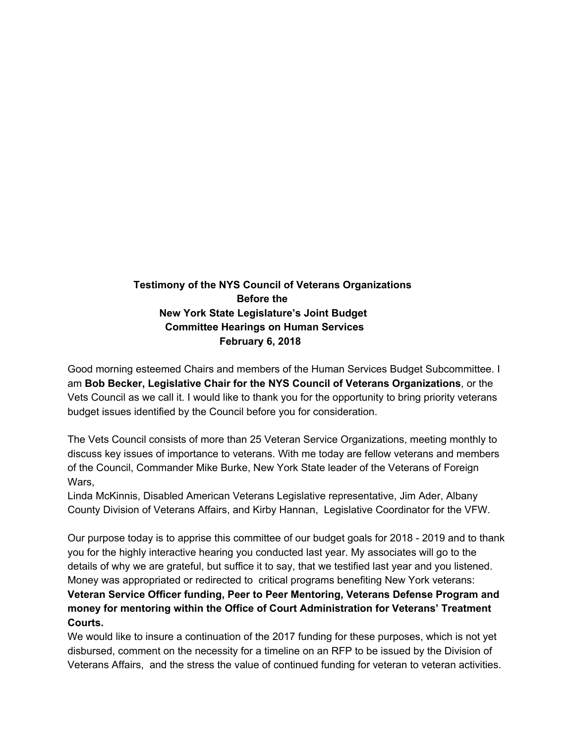## **Testimony of the NYS Council of Veterans Organizations Before the New York State Legislature's Joint Budget Committee Hearings on Human Services February 6, 2018**

Good morning esteemed Chairs and members of the Human Services Budget Subcommittee. I am **Bob Becker, Legislative Chair for the NYS Council of Veterans Organizations**, or the Vets Council as we call it. I would like to thank you for the opportunity to bring priority veterans budget issues identified by the Council before you for consideration.

The Vets Council consists of more than 25 Veteran Service Organizations, meeting monthly to discuss key issues of importance to veterans. With me today are fellow veterans and members of the Council, Commander Mike Burke, New York State leader of the Veterans of Foreign Wars.

Linda McKinnis, Disabled American Veterans Legislative representative, Jim Ader, Albany County Division of Veterans Affairs, and Kirby Hannan, Legislative Coordinator for the VFW.

Our purpose today is to apprise this committee of our budget goals for 2018 - 2019 and to thank you for the highly interactive hearing you conducted last year. My associates will go to the details of why we are grateful, but suffice it to say, that we testified last year and you listened. Money was appropriated or redirected to critical programs benefiting New York veterans: **Veteran Service Officer funding, Peer to Peer Mentoring, Veterans Defense Program and money for mentoring within the Office of Court Administration for Veterans' Treatment Courts.**

We would like to insure a continuation of the 2017 funding for these purposes, which is not yet disbursed, comment on the necessity for a timeline on an RFP to be issued by the Division of Veterans Affairs, and the stress the value of continued funding for veteran to veteran activities.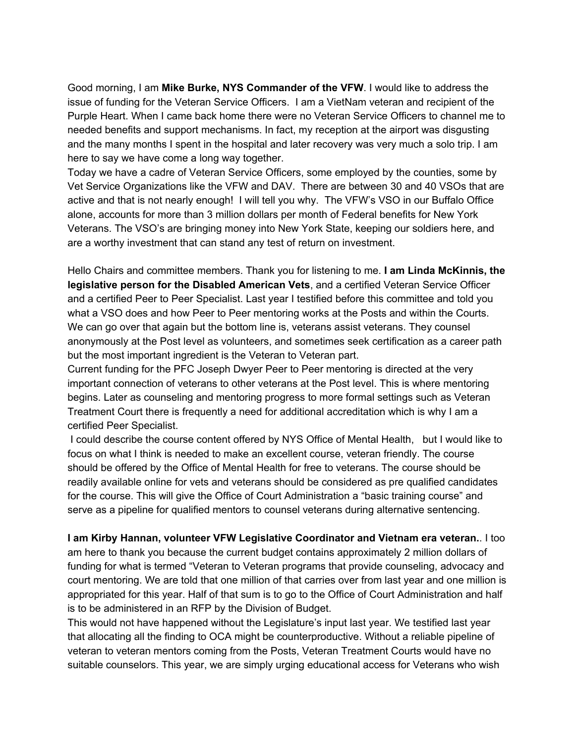Good morning, I am **Mike Burke, NYS Commander of the VFW**. I would like to address the issue of funding for the Veteran Service Officers. I am a VietNam veteran and recipient of the Purple Heart. When I came back home there were no Veteran Service Officers to channel me to needed benefits and support mechanisms. In fact, my reception at the airport was disgusting and the many months I spent in the hospital and later recovery was very much a solo trip. I am here to say we have come a long way together.

Today we have a cadre of Veteran Service Officers, some employed by the counties, some by Vet Service Organizations like the VFW and DAV. There are between 30 and 40 VSOs that are active and that is not nearly enough! I will tell you why. The VFW's VSO in our Buffalo Office alone, accounts for more than 3 million dollars per month of Federal benefits for New York Veterans. The VSO's are bringing money into New York State, keeping our soldiers here, and are a worthy investment that can stand any test of return on investment.

Hello Chairs and committee members. Thank you for listening to me. **I am Linda McKinnis, the legislative person for the Disabled American Vets**, and a certified Veteran Service Officer and a certified Peer to Peer Specialist. Last year I testified before this committee and told you what a VSO does and how Peer to Peer mentoring works at the Posts and within the Courts. We can go over that again but the bottom line is, veterans assist veterans. They counsel anonymously at the Post level as volunteers, and sometimes seek certification as a career path but the most important ingredient is the Veteran to Veteran part.

Current funding for the PFC Joseph Dwyer Peer to Peer mentoring is directed at the very important connection of veterans to other veterans at the Post level. This is where mentoring begins. Later as counseling and mentoring progress to more formal settings such as Veteran Treatment Court there is frequently a need for additional accreditation which is why I am a certified Peer Specialist.

I could describe the course content offered by NYS Office of Mental Health, but I would like to focus on what I think is needed to make an excellent course, veteran friendly. The course should be offered by the Office of Mental Health for free to veterans. The course should be readily available online for vets and veterans should be considered as pre qualified candidates for the course. This will give the Office of Court Administration a "basic training course" and serve as a pipeline for qualified mentors to counsel veterans during alternative sentencing.

**I am Kirby Hannan, volunteer VFW Legislative Coordinator and Vietnam era veteran.**. I too am here to thank you because the current budget contains approximately 2 million dollars of funding for what is termed "Veteran to Veteran programs that provide counseling, advocacy and court mentoring. We are told that one million of that carries over from last year and one million is appropriated for this year. Half of that sum is to go to the Office of Court Administration and half is to be administered in an RFP by the Division of Budget.

This would not have happened without the Legislature's input last year. We testified last year that allocating all the finding to OCA might be counterproductive. Without a reliable pipeline of veteran to veteran mentors coming from the Posts, Veteran Treatment Courts would have no suitable counselors. This year, we are simply urging educational access for Veterans who wish